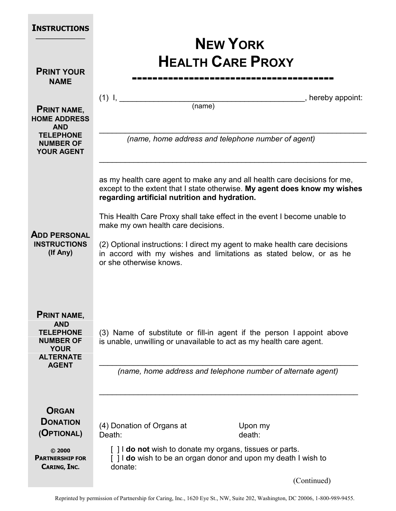| <b>INSTRUCTIONS</b>                                                                                                         |                                                                                                                                                                                                                                                                                                                                                                                                                                                                                                          |
|-----------------------------------------------------------------------------------------------------------------------------|----------------------------------------------------------------------------------------------------------------------------------------------------------------------------------------------------------------------------------------------------------------------------------------------------------------------------------------------------------------------------------------------------------------------------------------------------------------------------------------------------------|
| <b>PRINT YOUR</b><br><b>NAME</b>                                                                                            | <b>NEW YORK</b><br><b>HEALTH CARE PROXY</b>                                                                                                                                                                                                                                                                                                                                                                                                                                                              |
| <b>PRINT NAME,</b><br><b>HOME ADDRESS</b><br><b>AND</b><br><b>TELEPHONE</b><br><b>NUMBER OF</b>                             | $(1)$ I,<br>$\Box$ , hereby appoint:<br>(name)<br>(name, home address and telephone number of agent)                                                                                                                                                                                                                                                                                                                                                                                                     |
| <b>YOUR AGENT</b><br><b>ADD PERSONAL</b><br><b>INSTRUCTIONS</b><br>(If Any)                                                 | as my health care agent to make any and all health care decisions for me,<br>except to the extent that I state otherwise. My agent does know my wishes<br>regarding artificial nutrition and hydration.<br>This Health Care Proxy shall take effect in the event I become unable to<br>make my own health care decisions.<br>(2) Optional instructions: I direct my agent to make health care decisions<br>in accord with my wishes and limitations as stated below, or as he<br>or she otherwise knows. |
| <b>PRINT NAME,</b><br><b>AND</b><br><b>TELEPHONE</b><br><b>NUMBER OF</b><br><b>YOUR</b><br><b>ALTERNATE</b><br><b>AGENT</b> | (3) Name of substitute or fill-in agent if the person I appoint above<br>is unable, unwilling or unavailable to act as my health care agent.<br>(name, home address and telephone number of alternate agent)                                                                                                                                                                                                                                                                                             |
| <b>ORGAN</b><br><b>DONATION</b><br>(OPTIONAL)<br>© 2000<br><b>PARTNERSHIP FOR</b><br>CARING, INC.                           | (4) Donation of Organs at<br>Upon my<br>death:<br>Death:<br>[] <b>do not</b> wish to donate my organs, tissues or parts.<br>[] I do wish to be an organ donor and upon my death I wish to<br>donate:<br>(Continued)                                                                                                                                                                                                                                                                                      |